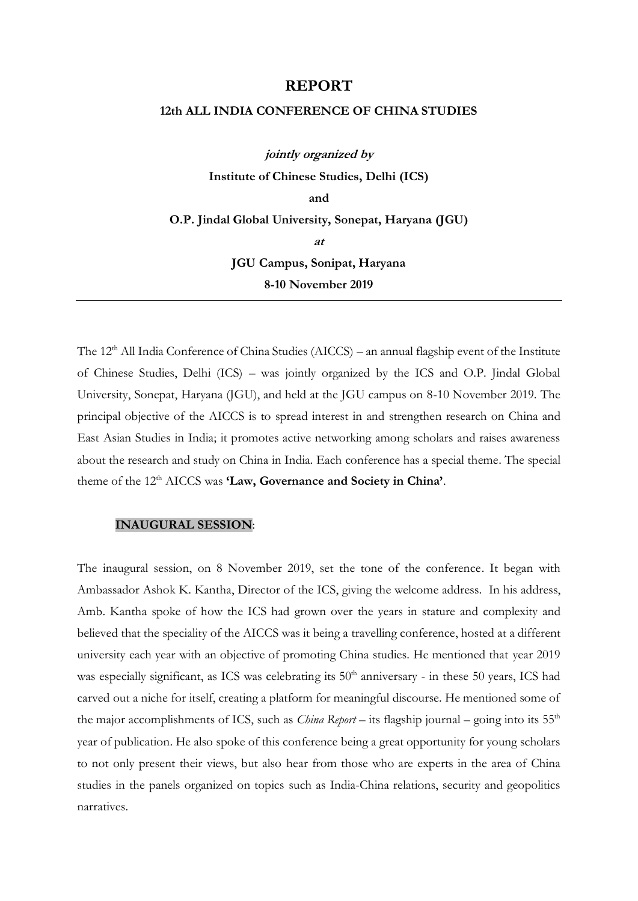#### **REPORT**

### **12th ALL INDIA CONFERENCE OF CHINA STUDIES**

**jointly organized by Institute of Chinese Studies, Delhi (ICS) and O.P. Jindal Global University, Sonepat, Haryana (JGU) at JGU Campus, Sonipat, Haryana 8-10 November 2019**

The 12<sup>th</sup> All India Conference of China Studies (AICCS) – an annual flagship event of the Institute of Chinese Studies, Delhi (ICS) – was jointly organized by the ICS and O.P. Jindal Global University, Sonepat, Haryana (JGU), and held at the JGU campus on 8-10 November 2019. The principal objective of the AICCS is to spread interest in and strengthen research on China and East Asian Studies in India; it promotes active networking among scholars and raises awareness about the research and study on China in India. Each conference has a special theme. The special theme of the 12<sup>th</sup> AICCS was **'Law, Governance and Society in China'**.

#### **INAUGURAL SESSION**:

The inaugural session, on 8 November 2019, set the tone of the conference. It began with Ambassador Ashok K. Kantha, Director of the ICS, giving the welcome address. In his address, Amb. Kantha spoke of how the ICS had grown over the years in stature and complexity and believed that the speciality of the AICCS was it being a travelling conference, hosted at a different university each year with an objective of promoting China studies. He mentioned that year 2019 was especially significant, as ICS was celebrating its 50<sup>th</sup> anniversary - in these 50 years, ICS had carved out a niche for itself, creating a platform for meaningful discourse. He mentioned some of the major accomplishments of ICS, such as *China Report* – its flagship journal – going into its 55<sup>th</sup> year of publication. He also spoke of this conference being a great opportunity for young scholars to not only present their views, but also hear from those who are experts in the area of China studies in the panels organized on topics such as India-China relations, security and geopolitics narratives.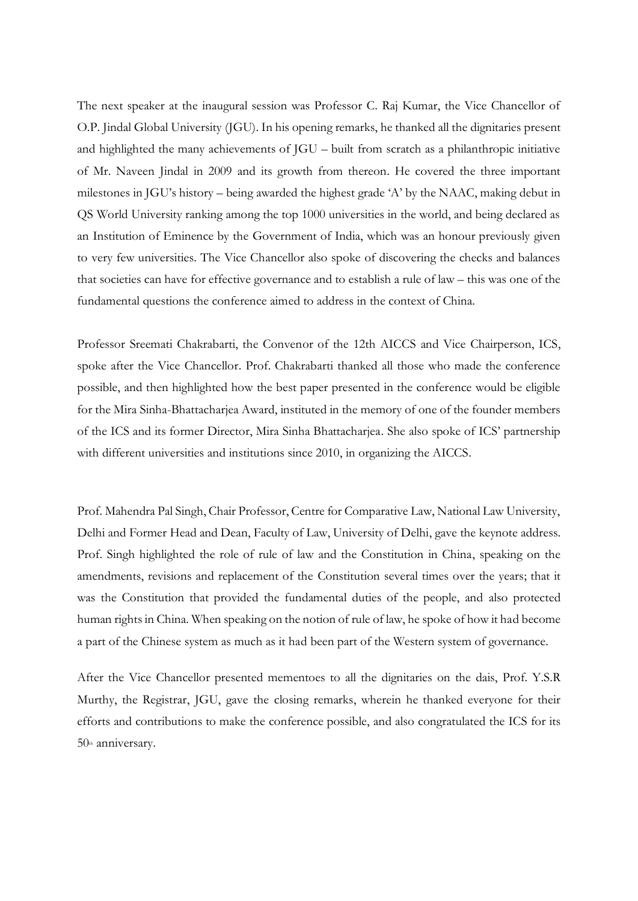The next speaker at the inaugural session was Professor C. Raj Kumar, the Vice Chancellor of O.P. Jindal Global University (JGU). In his opening remarks, he thanked all the dignitaries present and highlighted the many achievements of JGU – built from scratch as a philanthropic initiative of Mr. Naveen Jindal in 2009 and its growth from thereon. He covered the three important milestones in JGU's history – being awarded the highest grade 'A' by the NAAC, making debut in QS World University ranking among the top 1000 universities in the world, and being declared as an Institution of Eminence by the Government of India, which was an honour previously given to very few universities. The Vice Chancellor also spoke of discovering the checks and balances that societies can have for effective governance and to establish a rule of law – this was one of the fundamental questions the conference aimed to address in the context of China.

Professor Sreemati Chakrabarti, the Convenor of the 12th AICCS and Vice Chairperson, ICS, spoke after the Vice Chancellor. Prof. Chakrabarti thanked all those who made the conference possible, and then highlighted how the best paper presented in the conference would be eligible for the Mira Sinha-Bhattacharjea Award, instituted in the memory of one of the founder members of the ICS and its former Director, Mira Sinha Bhattacharjea. She also spoke of ICS' partnership with different universities and institutions since 2010, in organizing the AICCS.

Prof. Mahendra Pal Singh, Chair Professor, Centre for Comparative Law, National Law University, Delhi and Former Head and Dean, Faculty of Law, University of Delhi, gave the keynote address. Prof. Singh highlighted the role of rule of law and the Constitution in China, speaking on the amendments, revisions and replacement of the Constitution several times over the years; that it was the Constitution that provided the fundamental duties of the people, and also protected human rights in China. When speaking on the notion of rule of law, he spoke of how it had become a part of the Chinese system as much as it had been part of the Western system of governance.

After the Vice Chancellor presented mementoes to all the dignitaries on the dais, Prof. Y.S.R Murthy, the Registrar, JGU, gave the closing remarks, wherein he thanked everyone for their efforts and contributions to make the conference possible, and also congratulated the ICS for its 50th anniversary.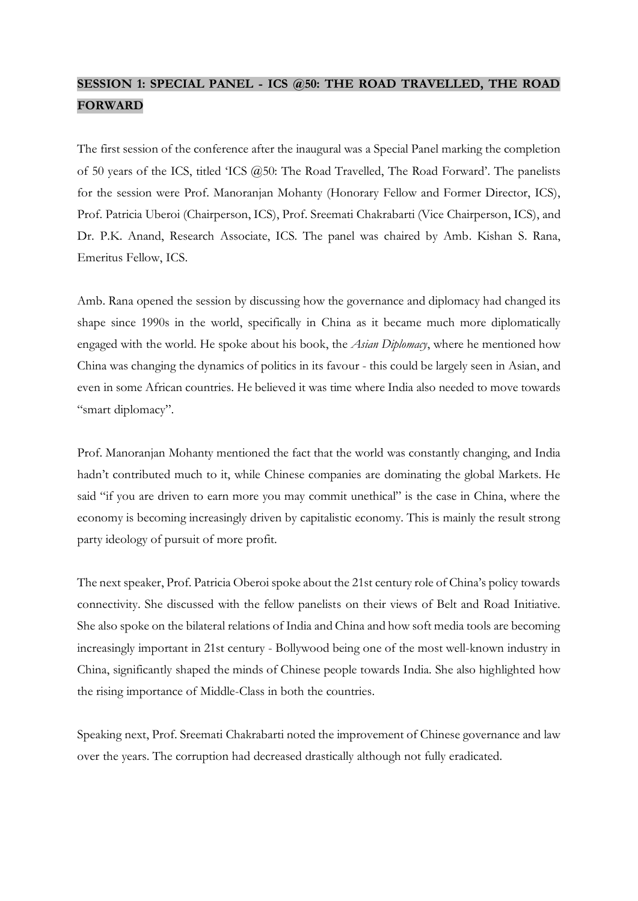# **SESSION 1: SPECIAL PANEL - ICS @50: THE ROAD TRAVELLED, THE ROAD FORWARD**

The first session of the conference after the inaugural was a Special Panel marking the completion of 50 years of the ICS, titled 'ICS @50: The Road Travelled, The Road Forward'. The panelists for the session were Prof. Manoranjan Mohanty (Honorary Fellow and Former Director, ICS), Prof. Patricia Uberoi (Chairperson, ICS), Prof. Sreemati Chakrabarti (Vice Chairperson, ICS), and Dr. P.K. Anand, Research Associate, ICS. The panel was chaired by Amb. Kishan S. Rana, Emeritus Fellow, ICS.

Amb. Rana opened the session by discussing how the governance and diplomacy had changed its shape since 1990s in the world, specifically in China as it became much more diplomatically engaged with the world. He spoke about his book, the *Asian Diplomacy*, where he mentioned how China was changing the dynamics of politics in its favour - this could be largely seen in Asian, and even in some African countries. He believed it was time where India also needed to move towards "smart diplomacy".

Prof. Manoranjan Mohanty mentioned the fact that the world was constantly changing, and India hadn't contributed much to it, while Chinese companies are dominating the global Markets. He said "if you are driven to earn more you may commit unethical" is the case in China, where the economy is becoming increasingly driven by capitalistic economy. This is mainly the result strong party ideology of pursuit of more profit.

The next speaker, Prof. Patricia Oberoi spoke about the 21st century role of China's policy towards connectivity. She discussed with the fellow panelists on their views of Belt and Road Initiative. She also spoke on the bilateral relations of India and China and how soft media tools are becoming increasingly important in 21st century - Bollywood being one of the most well-known industry in China, significantly shaped the minds of Chinese people towards India. She also highlighted how the rising importance of Middle-Class in both the countries.

Speaking next, Prof. Sreemati Chakrabarti noted the improvement of Chinese governance and law over the years. The corruption had decreased drastically although not fully eradicated.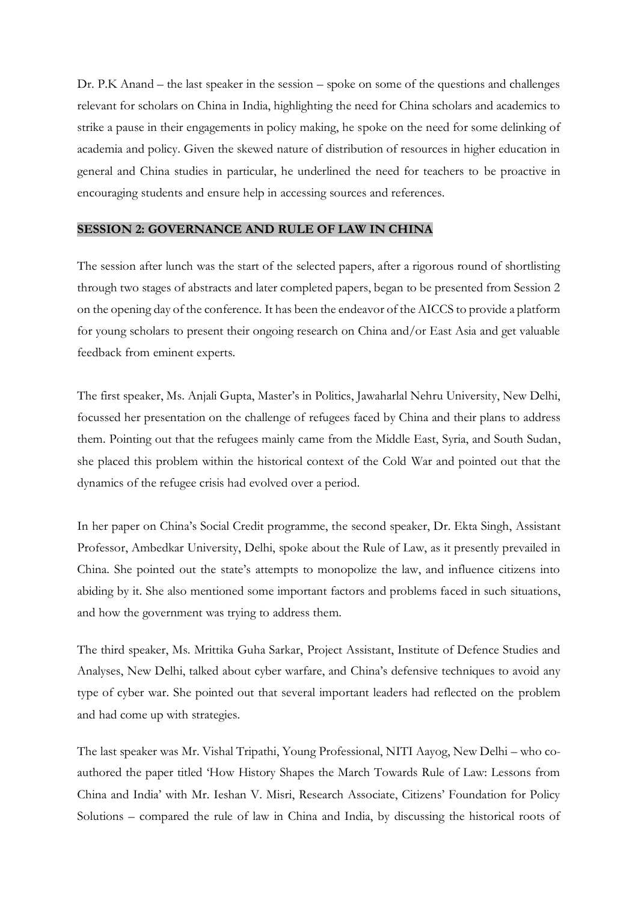Dr. P.K Anand – the last speaker in the session – spoke on some of the questions and challenges relevant for scholars on China in India, highlighting the need for China scholars and academics to strike a pause in their engagements in policy making, he spoke on the need for some delinking of academia and policy. Given the skewed nature of distribution of resources in higher education in general and China studies in particular, he underlined the need for teachers to be proactive in encouraging students and ensure help in accessing sources and references.

#### **SESSION 2: GOVERNANCE AND RULE OF LAW IN CHINA**

The session after lunch was the start of the selected papers, after a rigorous round of shortlisting through two stages of abstracts and later completed papers, began to be presented from Session 2 on the opening day of the conference. It has been the endeavor of the AICCS to provide a platform for young scholars to present their ongoing research on China and/or East Asia and get valuable feedback from eminent experts.

The first speaker, Ms. Anjali Gupta, Master's in Politics, Jawaharlal Nehru University, New Delhi, focussed her presentation on the challenge of refugees faced by China and their plans to address them. Pointing out that the refugees mainly came from the Middle East, Syria, and South Sudan, she placed this problem within the historical context of the Cold War and pointed out that the dynamics of the refugee crisis had evolved over a period.

In her paper on China's Social Credit programme, the second speaker, Dr. Ekta Singh, Assistant Professor, Ambedkar University, Delhi, spoke about the Rule of Law, as it presently prevailed in China. She pointed out the state's attempts to monopolize the law, and influence citizens into abiding by it. She also mentioned some important factors and problems faced in such situations, and how the government was trying to address them.

The third speaker, Ms. Mrittika Guha Sarkar, Project Assistant, Institute of Defence Studies and Analyses, New Delhi, talked about cyber warfare, and China's defensive techniques to avoid any type of cyber war. She pointed out that several important leaders had reflected on the problem and had come up with strategies.

The last speaker was Mr. Vishal Tripathi, Young Professional, NITI Aayog, New Delhi – who coauthored the paper titled 'How History Shapes the March Towards Rule of Law: Lessons from China and India' with Mr. Ieshan V. Misri, Research Associate, Citizens' Foundation for Policy Solutions – compared the rule of law in China and India, by discussing the historical roots of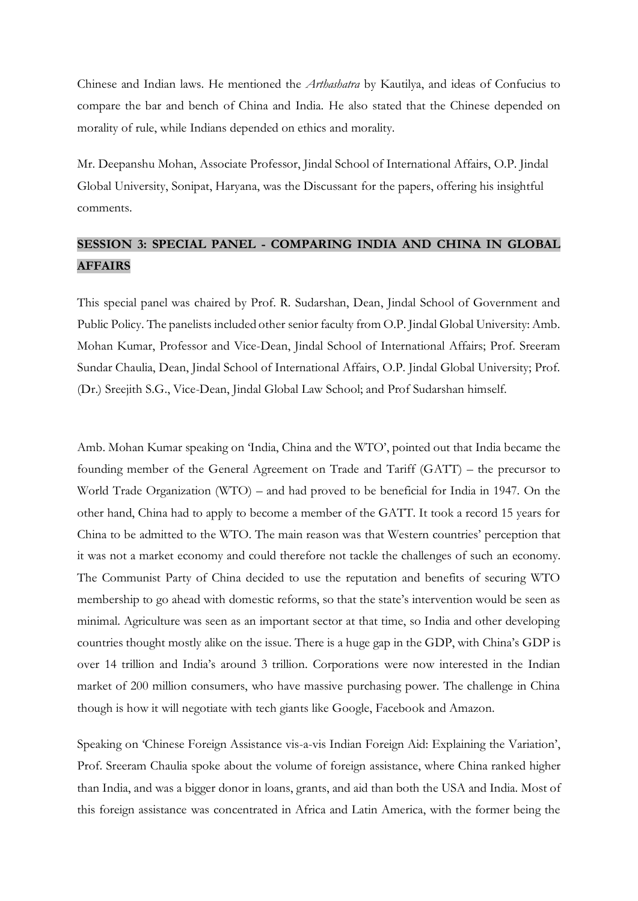Chinese and Indian laws. He mentioned the *Arthashatra* by Kautilya, and ideas of Confucius to compare the bar and bench of China and India. He also stated that the Chinese depended on morality of rule, while Indians depended on ethics and morality.

Mr. Deepanshu Mohan, Associate Professor, Jindal School of International Affairs, O.P. Jindal Global University, Sonipat, Haryana, was the Discussant for the papers, offering his insightful comments.

### **SESSION 3: SPECIAL PANEL - COMPARING INDIA AND CHINA IN GLOBAL AFFAIRS**

This special panel was chaired by Prof. R. Sudarshan, Dean, Jindal School of Government and Public Policy. The panelists included other senior faculty from O.P. Jindal Global University: Amb. Mohan Kumar, Professor and Vice-Dean, Jindal School of International Affairs; Prof. Sreeram Sundar Chaulia, Dean, Jindal School of International Affairs, O.P. Jindal Global University; Prof. (Dr.) Sreejith S.G., Vice-Dean, Jindal Global Law School; and Prof Sudarshan himself.

Amb. Mohan Kumar speaking on 'India, China and the WTO', pointed out that India became the founding member of the General Agreement on Trade and Tariff (GATT) – the precursor to World Trade Organization (WTO) – and had proved to be beneficial for India in 1947. On the other hand, China had to apply to become a member of the GATT. It took a record 15 years for China to be admitted to the WTO. The main reason was that Western countries' perception that it was not a market economy and could therefore not tackle the challenges of such an economy. The Communist Party of China decided to use the reputation and benefits of securing WTO membership to go ahead with domestic reforms, so that the state's intervention would be seen as minimal. Agriculture was seen as an important sector at that time, so India and other developing countries thought mostly alike on the issue. There is a huge gap in the GDP, with China's GDP is over 14 trillion and India's around 3 trillion. Corporations were now interested in the Indian market of 200 million consumers, who have massive purchasing power. The challenge in China though is how it will negotiate with tech giants like Google, Facebook and Amazon.

Speaking on 'Chinese Foreign Assistance vis-a-vis Indian Foreign Aid: Explaining the Variation', Prof. Sreeram Chaulia spoke about the volume of foreign assistance, where China ranked higher than India, and was a bigger donor in loans, grants, and aid than both the USA and India. Most of this foreign assistance was concentrated in Africa and Latin America, with the former being the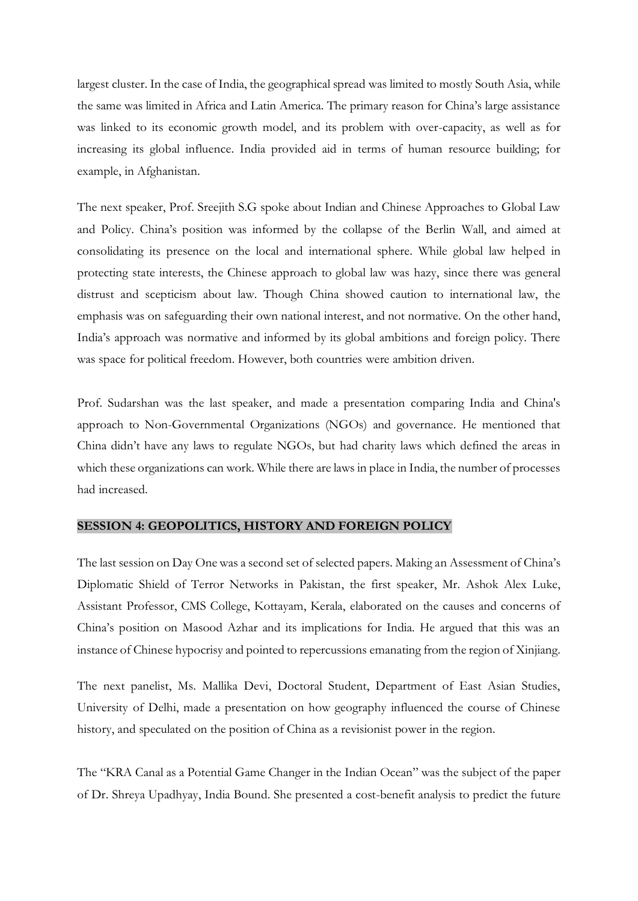largest cluster. In the case of India, the geographical spread was limited to mostly South Asia, while the same was limited in Africa and Latin America. The primary reason for China's large assistance was linked to its economic growth model, and its problem with over-capacity, as well as for increasing its global influence. India provided aid in terms of human resource building; for example, in Afghanistan.

The next speaker, Prof. Sreejith S.G spoke about Indian and Chinese Approaches to Global Law and Policy. China's position was informed by the collapse of the Berlin Wall, and aimed at consolidating its presence on the local and international sphere. While global law helped in protecting state interests, the Chinese approach to global law was hazy, since there was general distrust and scepticism about law. Though China showed caution to international law, the emphasis was on safeguarding their own national interest, and not normative. On the other hand, India's approach was normative and informed by its global ambitions and foreign policy. There was space for political freedom. However, both countries were ambition driven.

Prof. Sudarshan was the last speaker, and made a presentation comparing India and China's approach to Non-Governmental Organizations (NGOs) and governance. He mentioned that China didn't have any laws to regulate NGOs, but had charity laws which defined the areas in which these organizations can work. While there are laws in place in India, the number of processes had increased.

#### **SESSION 4: GEOPOLITICS, HISTORY AND FOREIGN POLICY**

The last session on Day One was a second set of selected papers. Making an Assessment of China's Diplomatic Shield of Terror Networks in Pakistan, the first speaker, Mr. Ashok Alex Luke, Assistant Professor, CMS College, Kottayam, Kerala, elaborated on the causes and concerns of China's position on Masood Azhar and its implications for India. He argued that this was an instance of Chinese hypocrisy and pointed to repercussions emanating from the region of Xinjiang.

The next panelist, Ms. Mallika Devi, Doctoral Student, Department of East Asian Studies, University of Delhi, made a presentation on how geography influenced the course of Chinese history, and speculated on the position of China as a revisionist power in the region.

The "KRA Canal as a Potential Game Changer in the Indian Ocean" was the subject of the paper of Dr. Shreya Upadhyay, India Bound. She presented a cost-benefit analysis to predict the future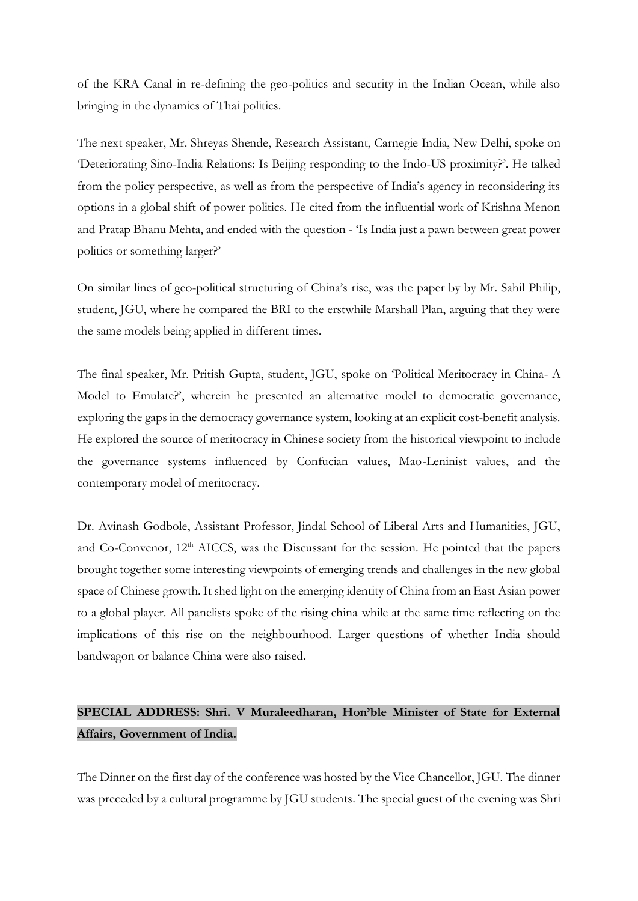of the KRA Canal in re-defining the geo-politics and security in the Indian Ocean, while also bringing in the dynamics of Thai politics.

The next speaker, Mr. Shreyas Shende, Research Assistant, Carnegie India, New Delhi, spoke on 'Deteriorating Sino-India Relations: Is Beijing responding to the Indo-US proximity?'. He talked from the policy perspective, as well as from the perspective of India's agency in reconsidering its options in a global shift of power politics. He cited from the influential work of Krishna Menon and Pratap Bhanu Mehta, and ended with the question - 'Is India just a pawn between great power politics or something larger?'

On similar lines of geo-political structuring of China's rise, was the paper by by Mr. Sahil Philip, student, JGU, where he compared the BRI to the erstwhile Marshall Plan, arguing that they were the same models being applied in different times.

The final speaker, Mr. Pritish Gupta, student, JGU, spoke on 'Political Meritocracy in China- A Model to Emulate?', wherein he presented an alternative model to democratic governance, exploring the gaps in the democracy governance system, looking at an explicit cost-benefit analysis. He explored the source of meritocracy in Chinese society from the historical viewpoint to include the governance systems influenced by Confucian values, Mao-Leninist values, and the contemporary model of meritocracy.

Dr. Avinash Godbole, Assistant Professor, Jindal School of Liberal Arts and Humanities, JGU, and Co-Convenor, 12<sup>th</sup> AICCS, was the Discussant for the session. He pointed that the papers brought together some interesting viewpoints of emerging trends and challenges in the new global space of Chinese growth. It shed light on the emerging identity of China from an East Asian power to a global player. All panelists spoke of the rising china while at the same time reflecting on the implications of this rise on the neighbourhood. Larger questions of whether India should bandwagon or balance China were also raised.

# **SPECIAL ADDRESS: Shri. V Muraleedharan, Hon'ble Minister of State for External Affairs, Government of India.**

The Dinner on the first day of the conference was hosted by the Vice Chancellor, JGU. The dinner was preceded by a cultural programme by JGU students. The special guest of the evening was Shri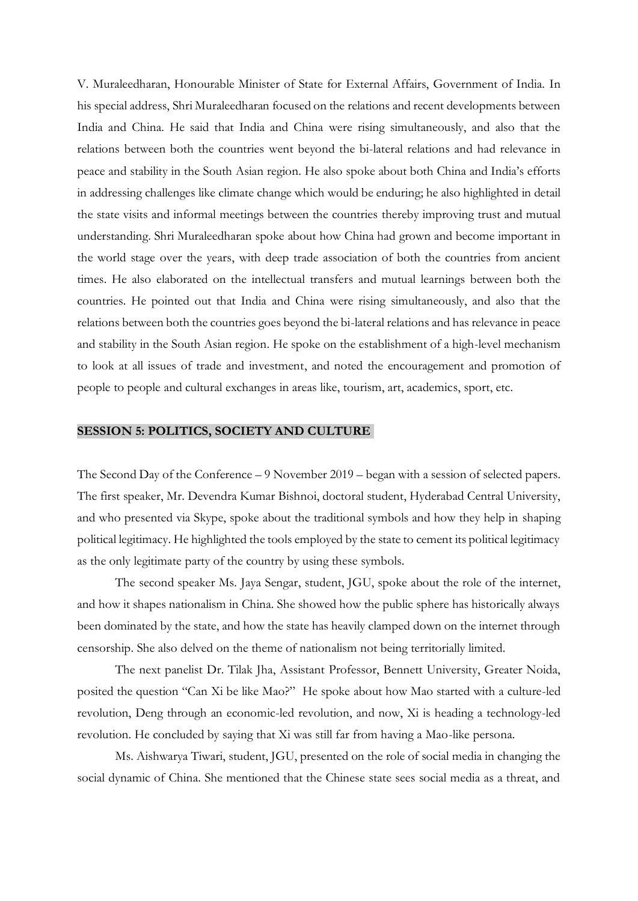V. Muraleedharan, Honourable Minister of State for External Affairs, Government of India. In his special address, Shri Muraleedharan focused on the relations and recent developments between India and China. He said that India and China were rising simultaneously, and also that the relations between both the countries went beyond the bi-lateral relations and had relevance in peace and stability in the South Asian region. He also spoke about both China and India's efforts in addressing challenges like climate change which would be enduring; he also highlighted in detail the state visits and informal meetings between the countries thereby improving trust and mutual understanding. Shri Muraleedharan spoke about how China had grown and become important in the world stage over the years, with deep trade association of both the countries from ancient times. He also elaborated on the intellectual transfers and mutual learnings between both the countries. He pointed out that India and China were rising simultaneously, and also that the relations between both the countries goes beyond the bi-lateral relations and has relevance in peace and stability in the South Asian region. He spoke on the establishment of a high-level mechanism to look at all issues of trade and investment, and noted the encouragement and promotion of people to people and cultural exchanges in areas like, tourism, art, academics, sport, etc.

#### **SESSION 5: POLITICS, SOCIETY AND CULTURE**

The Second Day of the Conference – 9 November 2019 – began with a session of selected papers. The first speaker, Mr. Devendra Kumar Bishnoi, doctoral student, Hyderabad Central University, and who presented via Skype, spoke about the traditional symbols and how they help in shaping political legitimacy. He highlighted the tools employed by the state to cement its political legitimacy as the only legitimate party of the country by using these symbols.

The second speaker Ms. Jaya Sengar, student, JGU, spoke about the role of the internet, and how it shapes nationalism in China. She showed how the public sphere has historically always been dominated by the state, and how the state has heavily clamped down on the internet through censorship. She also delved on the theme of nationalism not being territorially limited.

The next panelist Dr. Tilak Jha, Assistant Professor, Bennett University, Greater Noida, posited the question "Can Xi be like Mao?" He spoke about how Mao started with a culture-led revolution, Deng through an economic-led revolution, and now, Xi is heading a technology-led revolution. He concluded by saying that Xi was still far from having a Mao-like persona.

Ms. Aishwarya Tiwari, student, JGU, presented on the role of social media in changing the social dynamic of China. She mentioned that the Chinese state sees social media as a threat, and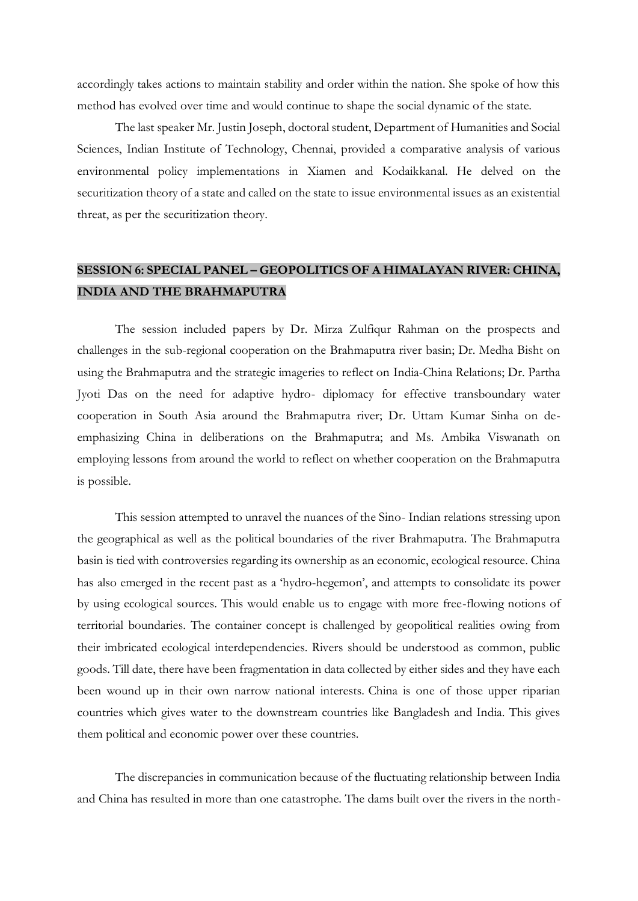accordingly takes actions to maintain stability and order within the nation. She spoke of how this method has evolved over time and would continue to shape the social dynamic of the state.

The last speaker Mr. Justin Joseph, doctoral student, Department of Humanities and Social Sciences, Indian Institute of Technology, Chennai, provided a comparative analysis of various environmental policy implementations in Xiamen and Kodaikkanal. He delved on the securitization theory of a state and called on the state to issue environmental issues as an existential threat, as per the securitization theory.

### **SESSION 6: SPECIAL PANEL – GEOPOLITICS OF A HIMALAYAN RIVER: CHINA, INDIA AND THE BRAHMAPUTRA**

The session included papers by Dr. Mirza Zulfiqur Rahman on the prospects and challenges in the sub-regional cooperation on the Brahmaputra river basin; Dr. Medha Bisht on using the Brahmaputra and the strategic imageries to reflect on India-China Relations; Dr. Partha Jyoti Das on the need for adaptive hydro- diplomacy for effective transboundary water cooperation in South Asia around the Brahmaputra river; Dr. Uttam Kumar Sinha on deemphasizing China in deliberations on the Brahmaputra; and Ms. Ambika Viswanath on employing lessons from around the world to reflect on whether cooperation on the Brahmaputra is possible.

This session attempted to unravel the nuances of the Sino- Indian relations stressing upon the geographical as well as the political boundaries of the river Brahmaputra. The Brahmaputra basin is tied with controversies regarding its ownership as an economic, ecological resource. China has also emerged in the recent past as a 'hydro-hegemon', and attempts to consolidate its power by using ecological sources. This would enable us to engage with more free-flowing notions of territorial boundaries. The container concept is challenged by geopolitical realities owing from their imbricated ecological interdependencies. Rivers should be understood as common, public goods. Till date, there have been fragmentation in data collected by either sides and they have each been wound up in their own narrow national interests. China is one of those upper riparian countries which gives water to the downstream countries like Bangladesh and India. This gives them political and economic power over these countries.

The discrepancies in communication because of the fluctuating relationship between India and China has resulted in more than one catastrophe. The dams built over the rivers in the north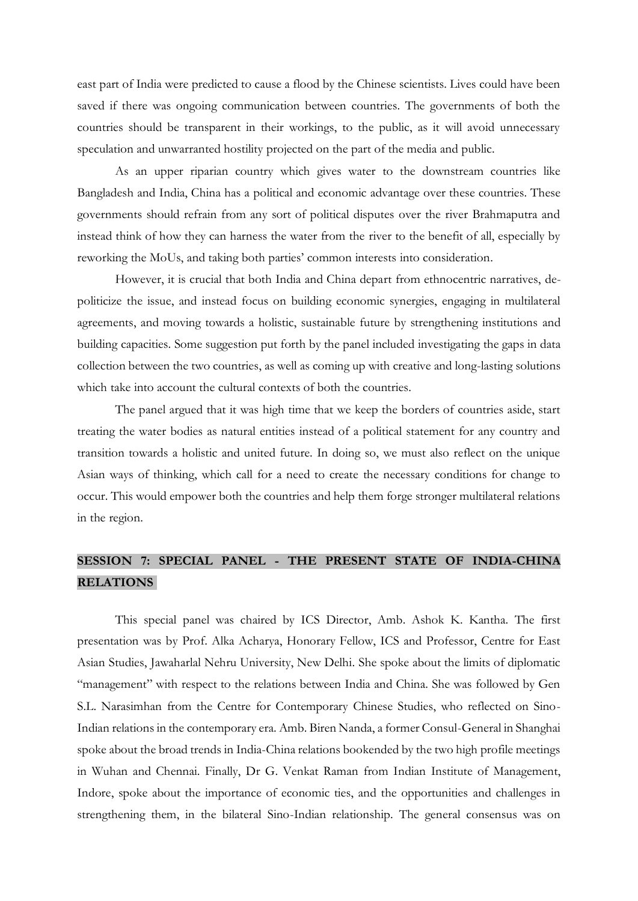east part of India were predicted to cause a flood by the Chinese scientists. Lives could have been saved if there was ongoing communication between countries. The governments of both the countries should be transparent in their workings, to the public, as it will avoid unnecessary speculation and unwarranted hostility projected on the part of the media and public.

As an upper riparian country which gives water to the downstream countries like Bangladesh and India, China has a political and economic advantage over these countries. These governments should refrain from any sort of political disputes over the river Brahmaputra and instead think of how they can harness the water from the river to the benefit of all, especially by reworking the MoUs, and taking both parties' common interests into consideration.

However, it is crucial that both India and China depart from ethnocentric narratives, depoliticize the issue, and instead focus on building economic synergies, engaging in multilateral agreements, and moving towards a holistic, sustainable future by strengthening institutions and building capacities. Some suggestion put forth by the panel included investigating the gaps in data collection between the two countries, as well as coming up with creative and long-lasting solutions which take into account the cultural contexts of both the countries.

The panel argued that it was high time that we keep the borders of countries aside, start treating the water bodies as natural entities instead of a political statement for any country and transition towards a holistic and united future. In doing so, we must also reflect on the unique Asian ways of thinking, which call for a need to create the necessary conditions for change to occur. This would empower both the countries and help them forge stronger multilateral relations in the region.

# **SESSION 7: SPECIAL PANEL - THE PRESENT STATE OF INDIA-CHINA RELATIONS**

This special panel was chaired by ICS Director, Amb. Ashok K. Kantha. The first presentation was by Prof. Alka Acharya, Honorary Fellow, ICS and Professor, Centre for East Asian Studies, Jawaharlal Nehru University, New Delhi. She spoke about the limits of diplomatic "management" with respect to the relations between India and China. She was followed by Gen S.L. Narasimhan from the Centre for Contemporary Chinese Studies, who reflected on Sino-Indian relations in the contemporary era. Amb. Biren Nanda, a former Consul-General in Shanghai spoke about the broad trends in India-China relations bookended by the two high profile meetings in Wuhan and Chennai. Finally, Dr G. Venkat Raman from Indian Institute of Management, Indore, spoke about the importance of economic ties, and the opportunities and challenges in strengthening them, in the bilateral Sino-Indian relationship. The general consensus was on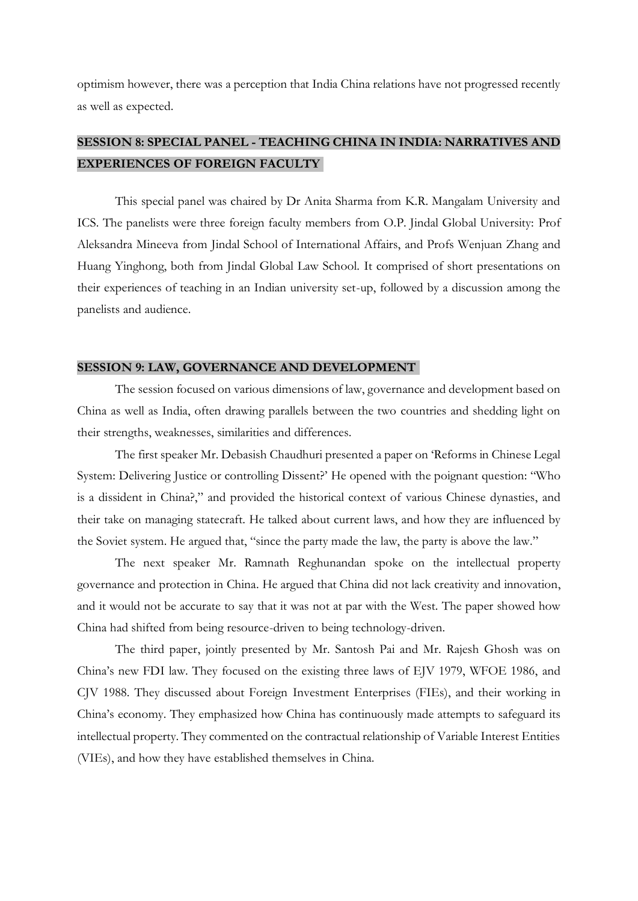optimism however, there was a perception that India China relations have not progressed recently as well as expected.

### **SESSION 8: SPECIAL PANEL - TEACHING CHINA IN INDIA: NARRATIVES AND EXPERIENCES OF FOREIGN FACULTY**

This special panel was chaired by Dr Anita Sharma from K.R. Mangalam University and ICS. The panelists were three foreign faculty members from O.P. Jindal Global University: Prof Aleksandra Mineeva from Jindal School of International Affairs, and Profs Wenjuan Zhang and Huang Yinghong, both from Jindal Global Law School. It comprised of short presentations on their experiences of teaching in an Indian university set-up, followed by a discussion among the panelists and audience.

#### **SESSION 9: LAW, GOVERNANCE AND DEVELOPMENT**

The session focused on various dimensions of law, governance and development based on China as well as India, often drawing parallels between the two countries and shedding light on their strengths, weaknesses, similarities and differences.

The first speaker Mr. Debasish Chaudhuri presented a paper on 'Reforms in Chinese Legal System: Delivering Justice or controlling Dissent?' He opened with the poignant question: "Who is a dissident in China?," and provided the historical context of various Chinese dynasties, and their take on managing statecraft. He talked about current laws, and how they are influenced by the Soviet system. He argued that, "since the party made the law, the party is above the law."

The next speaker Mr. Ramnath Reghunandan spoke on the intellectual property governance and protection in China. He argued that China did not lack creativity and innovation, and it would not be accurate to say that it was not at par with the West. The paper showed how China had shifted from being resource-driven to being technology-driven.

The third paper, jointly presented by Mr. Santosh Pai and Mr. Rajesh Ghosh was on China's new FDI law. They focused on the existing three laws of EJV 1979, WFOE 1986, and CJV 1988. They discussed about Foreign Investment Enterprises (FIEs), and their working in China's economy. They emphasized how China has continuously made attempts to safeguard its intellectual property. They commented on the contractual relationship of Variable Interest Entities (VIEs), and how they have established themselves in China.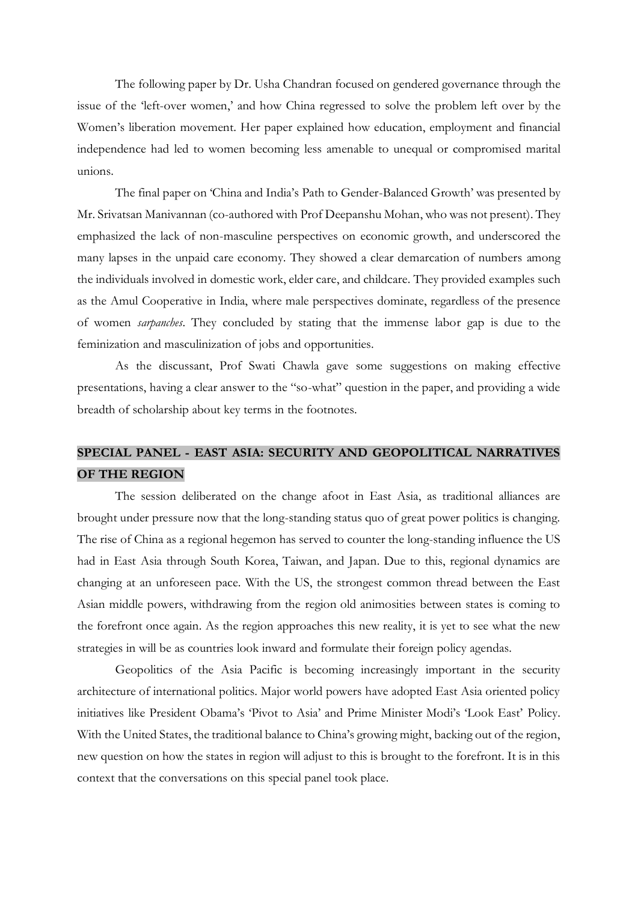The following paper by Dr. Usha Chandran focused on gendered governance through the issue of the 'left-over women,' and how China regressed to solve the problem left over by the Women's liberation movement. Her paper explained how education, employment and financial independence had led to women becoming less amenable to unequal or compromised marital unions.

The final paper on 'China and India's Path to Gender-Balanced Growth' was presented by Mr. Srivatsan Manivannan (co-authored with Prof Deepanshu Mohan, who was not present). They emphasized the lack of non-masculine perspectives on economic growth, and underscored the many lapses in the unpaid care economy. They showed a clear demarcation of numbers among the individuals involved in domestic work, elder care, and childcare. They provided examples such as the Amul Cooperative in India, where male perspectives dominate, regardless of the presence of women *sarpanches*. They concluded by stating that the immense labor gap is due to the feminization and masculinization of jobs and opportunities.

As the discussant, Prof Swati Chawla gave some suggestions on making effective presentations, having a clear answer to the "so-what" question in the paper, and providing a wide breadth of scholarship about key terms in the footnotes.

## **SPECIAL PANEL - EAST ASIA: SECURITY AND GEOPOLITICAL NARRATIVES OF THE REGION**

The session deliberated on the change afoot in East Asia, as traditional alliances are brought under pressure now that the long-standing status quo of great power politics is changing. The rise of China as a regional hegemon has served to counter the long-standing influence the US had in East Asia through South Korea, Taiwan, and Japan. Due to this, regional dynamics are changing at an unforeseen pace. With the US, the strongest common thread between the East Asian middle powers, withdrawing from the region old animosities between states is coming to the forefront once again. As the region approaches this new reality, it is yet to see what the new strategies in will be as countries look inward and formulate their foreign policy agendas.

Geopolitics of the Asia Pacific is becoming increasingly important in the security architecture of international politics. Major world powers have adopted East Asia oriented policy initiatives like President Obama's 'Pivot to Asia' and Prime Minister Modi's 'Look East' Policy. With the United States, the traditional balance to China's growing might, backing out of the region, new question on how the states in region will adjust to this is brought to the forefront. It is in this context that the conversations on this special panel took place.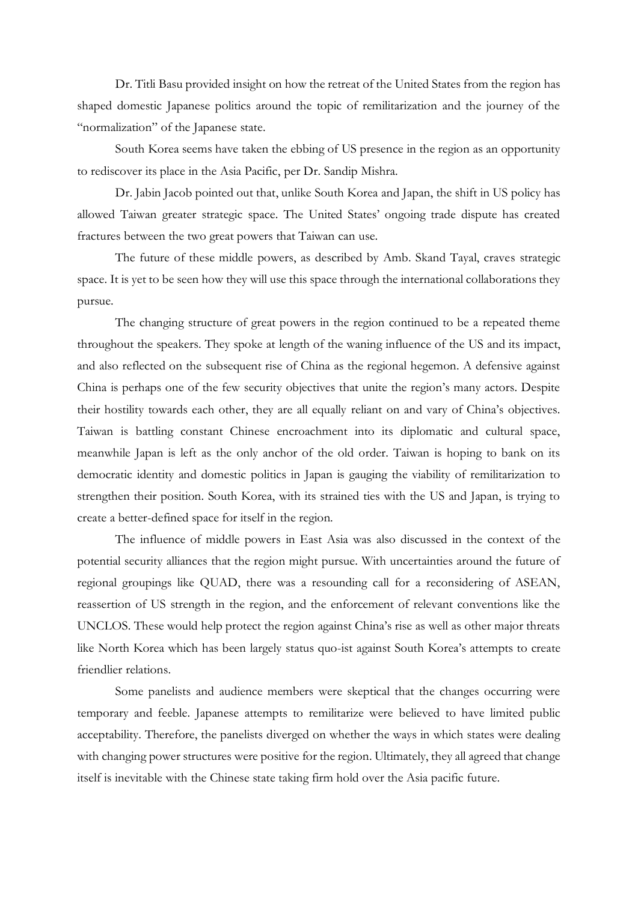Dr. Titli Basu provided insight on how the retreat of the United States from the region has shaped domestic Japanese politics around the topic of remilitarization and the journey of the "normalization" of the Japanese state.

South Korea seems have taken the ebbing of US presence in the region as an opportunity to rediscover its place in the Asia Pacific, per Dr. Sandip Mishra.

Dr. Jabin Jacob pointed out that, unlike South Korea and Japan, the shift in US policy has allowed Taiwan greater strategic space. The United States' ongoing trade dispute has created fractures between the two great powers that Taiwan can use.

The future of these middle powers, as described by Amb. Skand Tayal, craves strategic space. It is yet to be seen how they will use this space through the international collaborations they pursue.

The changing structure of great powers in the region continued to be a repeated theme throughout the speakers. They spoke at length of the waning influence of the US and its impact, and also reflected on the subsequent rise of China as the regional hegemon. A defensive against China is perhaps one of the few security objectives that unite the region's many actors. Despite their hostility towards each other, they are all equally reliant on and vary of China's objectives. Taiwan is battling constant Chinese encroachment into its diplomatic and cultural space, meanwhile Japan is left as the only anchor of the old order. Taiwan is hoping to bank on its democratic identity and domestic politics in Japan is gauging the viability of remilitarization to strengthen their position. South Korea, with its strained ties with the US and Japan, is trying to create a better-defined space for itself in the region.

The influence of middle powers in East Asia was also discussed in the context of the potential security alliances that the region might pursue. With uncertainties around the future of regional groupings like QUAD, there was a resounding call for a reconsidering of ASEAN, reassertion of US strength in the region, and the enforcement of relevant conventions like the UNCLOS. These would help protect the region against China's rise as well as other major threats like North Korea which has been largely status quo-ist against South Korea's attempts to create friendlier relations.

Some panelists and audience members were skeptical that the changes occurring were temporary and feeble. Japanese attempts to remilitarize were believed to have limited public acceptability. Therefore, the panelists diverged on whether the ways in which states were dealing with changing power structures were positive for the region. Ultimately, they all agreed that change itself is inevitable with the Chinese state taking firm hold over the Asia pacific future.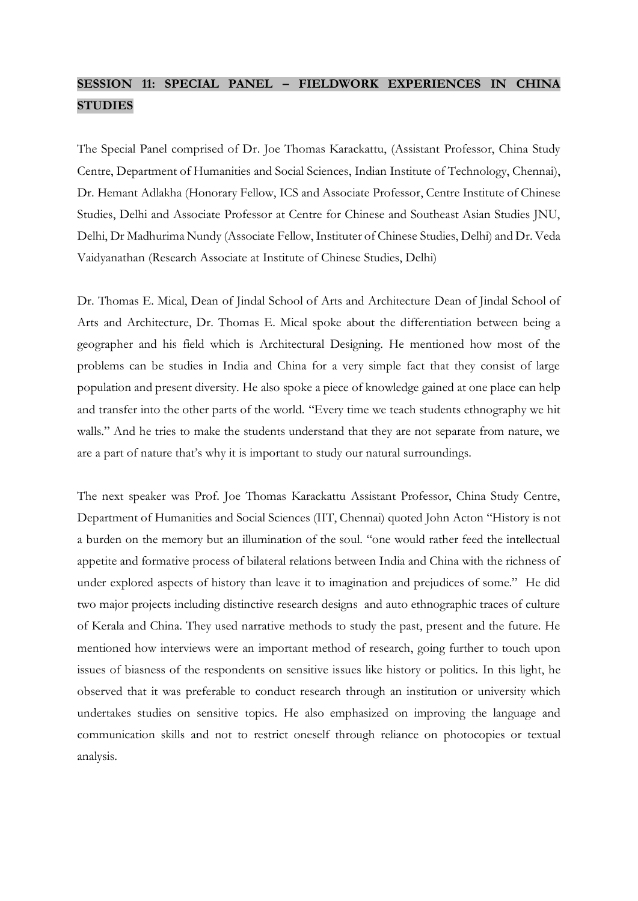# **SESSION 11: SPECIAL PANEL – FIELDWORK EXPERIENCES IN CHINA STUDIES**

The Special Panel comprised of Dr. Joe Thomas Karackattu, (Assistant Professor, China Study Centre, Department of Humanities and Social Sciences, Indian Institute of Technology, Chennai), Dr. Hemant Adlakha (Honorary Fellow, ICS and Associate Professor, Centre Institute of Chinese Studies, Delhi and Associate Professor at Centre for Chinese and Southeast Asian Studies JNU, Delhi, Dr Madhurima Nundy (Associate Fellow, Instituter of Chinese Studies, Delhi) and Dr. Veda Vaidyanathan (Research Associate at Institute of Chinese Studies, Delhi)

Dr. Thomas E. Mical, Dean of Jindal School of Arts and Architecture Dean of Jindal School of Arts and Architecture, Dr. Thomas E. Mical spoke about the differentiation between being a geographer and his field which is Architectural Designing. He mentioned how most of the problems can be studies in India and China for a very simple fact that they consist of large population and present diversity. He also spoke a piece of knowledge gained at one place can help and transfer into the other parts of the world. "Every time we teach students ethnography we hit walls." And he tries to make the students understand that they are not separate from nature, we are a part of nature that's why it is important to study our natural surroundings.

The next speaker was Prof. Joe Thomas Karackattu Assistant Professor, China Study Centre, Department of Humanities and Social Sciences (IIT, Chennai) quoted John Acton "History is not a burden on the memory but an illumination of the soul. "one would rather feed the intellectual appetite and formative process of bilateral relations between India and China with the richness of under explored aspects of history than leave it to imagination and prejudices of some." He did two major projects including distinctive research designs and auto ethnographic traces of culture of Kerala and China. They used narrative methods to study the past, present and the future. He mentioned how interviews were an important method of research, going further to touch upon issues of biasness of the respondents on sensitive issues like history or politics. In this light, he observed that it was preferable to conduct research through an institution or university which undertakes studies on sensitive topics. He also emphasized on improving the language and communication skills and not to restrict oneself through reliance on photocopies or textual analysis.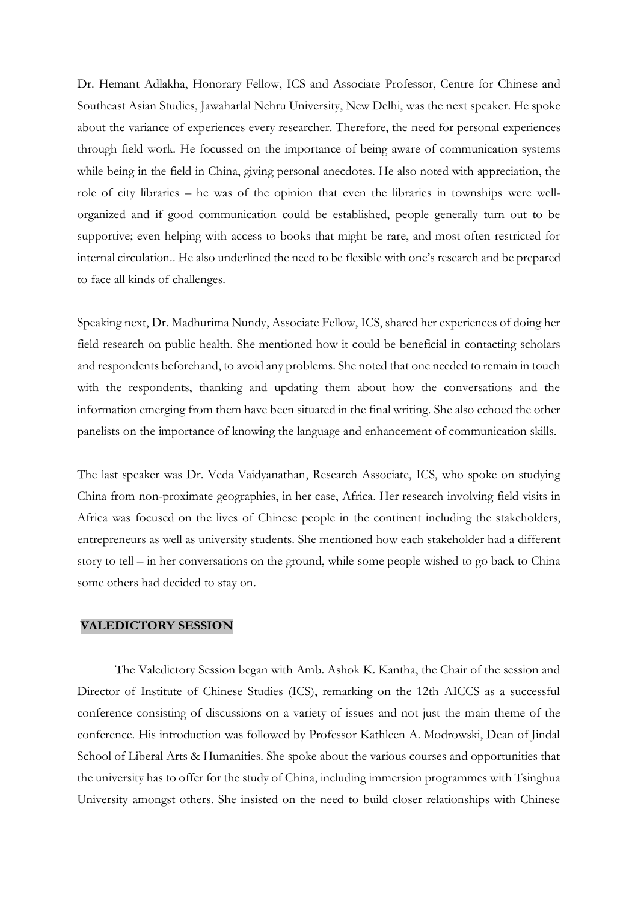Dr. Hemant Adlakha, Honorary Fellow, ICS and Associate Professor, Centre for Chinese and Southeast Asian Studies, Jawaharlal Nehru University, New Delhi, was the next speaker. He spoke about the variance of experiences every researcher. Therefore, the need for personal experiences through field work. He focussed on the importance of being aware of communication systems while being in the field in China, giving personal anecdotes. He also noted with appreciation, the role of city libraries – he was of the opinion that even the libraries in townships were wellorganized and if good communication could be established, people generally turn out to be supportive; even helping with access to books that might be rare, and most often restricted for internal circulation.. He also underlined the need to be flexible with one's research and be prepared to face all kinds of challenges.

Speaking next, Dr. Madhurima Nundy, Associate Fellow, ICS, shared her experiences of doing her field research on public health. She mentioned how it could be beneficial in contacting scholars and respondents beforehand, to avoid any problems. She noted that one needed to remain in touch with the respondents, thanking and updating them about how the conversations and the information emerging from them have been situated in the final writing. She also echoed the other panelists on the importance of knowing the language and enhancement of communication skills.

The last speaker was Dr. Veda Vaidyanathan, Research Associate, ICS, who spoke on studying China from non-proximate geographies, in her case, Africa. Her research involving field visits in Africa was focused on the lives of Chinese people in the continent including the stakeholders, entrepreneurs as well as university students. She mentioned how each stakeholder had a different story to tell – in her conversations on the ground, while some people wished to go back to China some others had decided to stay on.

#### **VALEDICTORY SESSION**

The Valedictory Session began with Amb. Ashok K. Kantha, the Chair of the session and Director of Institute of Chinese Studies (ICS), remarking on the 12th AICCS as a successful conference consisting of discussions on a variety of issues and not just the main theme of the conference. His introduction was followed by Professor Kathleen A. Modrowski, Dean of Jindal School of Liberal Arts & Humanities. She spoke about the various courses and opportunities that the university has to offer for the study of China, including immersion programmes with Tsinghua University amongst others. She insisted on the need to build closer relationships with Chinese